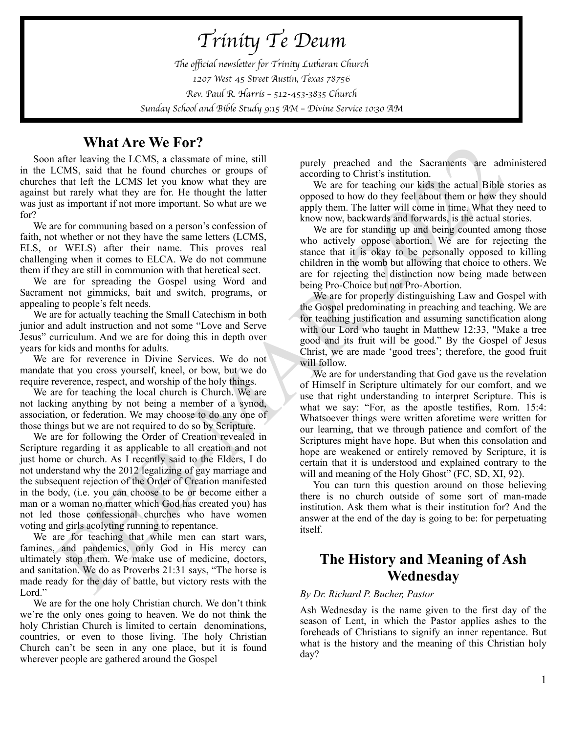*Trini*ty *Te Deum* Th*e o*ffi*cial newsle*tt*er for Trini*ty *Lu*th*eran Church 1207 West 45 S*tr*eet Aus*ti*n, Texas 78756 Rev. Paul R. Harris* – *512-453-3835 Church Sunday School and Bible Study 9:15 AM* – *Divine Service 10:30 AM* 

### **What Are We For?**

Soon after leaving the LCMS, a classmate of mine, still in the LCMS, said that he found churches or groups of churches that left the LCMS let you know what they are against but rarely what they are for. He thought the latter was just as important if not more important. So what are we for?

We are for communing based on a person's confession of faith, not whether or not they have the same letters (LCMS, ELS, or WELS) after their name. This proves real challenging when it comes to ELCA. We do not commune them if they are still in communion with that heretical sect.

We are for spreading the Gospel using Word and Sacrament not gimmicks, bait and switch, programs, or appealing to people's felt needs.

We are for actually teaching the Small Catechism in both junior and adult instruction and not some "Love and Serve Jesus" curriculum. And we are for doing this in depth over years for kids and months for adults.

We are for reverence in Divine Services. We do not mandate that you cross yourself, kneel, or bow, but we do require reverence, respect, and worship of the holy things.

We are for teaching the local church is Church. We are not lacking anything by not being a member of a synod, association, or federation. We may choose to do any one of those things but we are not required to do so by Scripture.

We are for following the Order of Creation revealed in Scripture regarding it as applicable to all creation and not just home or church. As I recently said to the Elders, I do not understand why the 2012 legalizing of gay marriage and the subsequent rejection of the Order of Creation manifested in the body, (i.e. you can choose to be or become either a man or a woman no matter which God has created you) has not led those confessional churches who have women voting and girls acolyting running to repentance.

We are for teaching that while men can start wars, famines, and pandemics, only God in His mercy can ultimately stop them. We make use of medicine, doctors, and sanitation. We do as Proverbs 21:31 says, "The horse is made ready for the day of battle, but victory rests with the Lord."

We are for the one holy Christian church. We don't think we're the only ones going to heaven. We do not think the holy Christian Church is limited to certain denominations, countries, or even to those living. The holy Christian Church can't be seen in any one place, but it is found wherever people are gathered around the Gospel

purely preached and the Sacraments are administered according to Christ's institution.

We are for teaching our kids the actual Bible stories as opposed to how do they feel about them or how they should apply them. The latter will come in time. What they need to know now, backwards and forwards, is the actual stories.

We are for standing up and being counted among those who actively oppose abortion. We are for rejecting the stance that it is okay to be personally opposed to killing children in the womb but allowing that choice to others. We are for rejecting the distinction now being made between being Pro-Choice but not Pro-Abortion.

We are for properly distinguishing Law and Gospel with the Gospel predominating in preaching and teaching. We are for teaching justification and assuming sanctification along with our Lord who taught in Matthew 12:33, "Make a tree good and its fruit will be good." By the Gospel of Jesus Christ, we are made 'good trees'; therefore, the good fruit will follow.

**FROM THE CHOCK SOMETHY (EXCREMENTAL THE SURVEY CHOSE SOMETHIGHT CONSULTIONS, a clusterate of mine, still<br>
and the beat control churches or groups of seconding to Christ institution in the beat control case of the control** We are for understanding that God gave us the revelation of Himself in Scripture ultimately for our comfort, and we use that right understanding to interpret Scripture. This is what we say: "For, as the apostle testifies, Rom. 15:4: Whatsoever things were written aforetime were written for our learning, that we through patience and comfort of the Scriptures might have hope. But when this consolation and hope are weakened or entirely removed by Scripture, it is certain that it is understood and explained contrary to the will and meaning of the Holy Ghost" (FC, SD, XI, 92).

You can turn this question around on those believing there is no church outside of some sort of man-made institution. Ask them what is their institution for? And the answer at the end of the day is going to be: for perpetuating itself.

### **The History and Meaning of Ash Wednesday**

#### *By Dr. Richard P. Bucher, Pastor*

Ash Wednesday is the name given to the first day of the season of Lent, in which the Pastor applies ashes to the foreheads of Christians to signify an inner repentance. But what is the history and the meaning of this Christian holy day?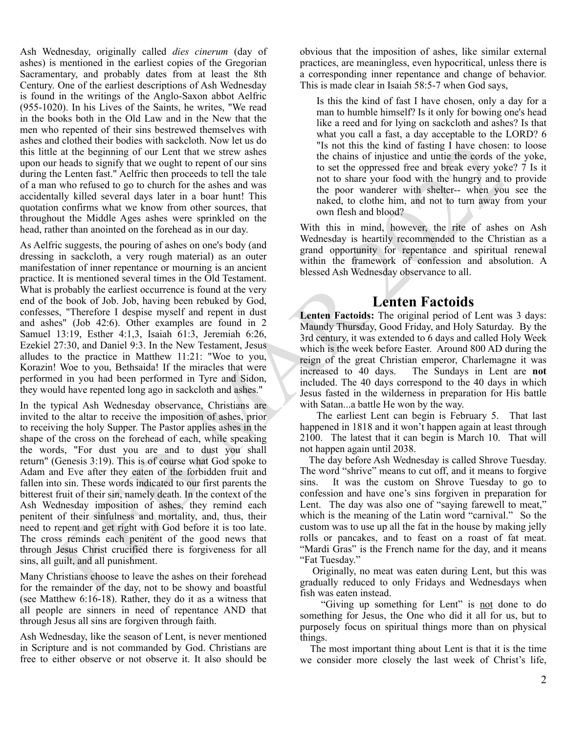Ash Wednesday, originally called *dies cinerum* (day of ashes) is mentioned in the earliest copies of the Gregorian Sacramentary, and probably dates from at least the 8th Century. One of the earliest descriptions of Ash Wednesday is found in the writings of the Anglo-Saxon abbot Aelfric (955-1020). In his Lives of the Saints, he writes, "We read in the books both in the Old Law and in the New that the men who repented of their sins bestrewed themselves with ashes and clothed their bodies with sackcloth. Now let us do this little at the beginning of our Lent that we strew ashes upon our heads to signify that we ought to repent of our sins during the Lenten fast." Aelfric then proceeds to tell the tale of a man who refused to go to church for the ashes and was accidentally killed several days later in a boar hunt! This quotation confirms what we know from other sources, that throughout the Middle Ages ashes were sprinkled on the head, rather than anointed on the forehead as in our day.

As Aelfric suggests, the pouring of ashes on one's body (and dressing in sackcloth, a very rough material) as an outer manifestation of inner repentance or mourning is an ancient practice. It is mentioned several times in the Old Testament. What is probably the earliest occurrence is found at the very end of the book of Job. Job, having been rebuked by God, confesses, "Therefore I despise myself and repent in dust and ashes" (Job 42:6). Other examples are found in 2 Samuel 13:19, Esther 4:1,3, Isaiah 61:3, Jeremiah 6:26, Ezekiel 27:30, and Daniel 9:3. In the New Testament, Jesus alludes to the practice in Matthew 11:21: "Woe to you, Korazin! Woe to you, Bethsaida! If the miracles that were performed in you had been performed in Tyre and Sidon, they would have repented long ago in sackcloth and ashes."

and the book of both sin the bin sin the initial time theoretical and the bin sin that the constraints of its sin the constraints of the internet of the both sin the constraints of the constraints of the constraints we co In the typical Ash Wednesday observance, Christians are invited to the altar to receive the imposition of ashes, prior to receiving the holy Supper. The Pastor applies ashes in the shape of the cross on the forehead of each, while speaking the words, "For dust you are and to dust you shall return" (Genesis 3:19). This is of course what God spoke to Adam and Eve after they eaten of the forbidden fruit and fallen into sin. These words indicated to our first parents the bitterest fruit of their sin, namely death. In the context of the Ash Wednesday imposition of ashes, they remind each penitent of their sinfulness and mortality, and, thus, their need to repent and get right with God before it is too late. The cross reminds each penitent of the good news that through Jesus Christ crucified there is forgiveness for all sins, all guilt, and all punishment.

Many Christians choose to leave the ashes on their forehead for the remainder of the day, not to be showy and boastful (see Matthew 6:16-18). Rather, they do it as a witness that all people are sinners in need of repentance AND that through Jesus all sins are forgiven through faith.

Ash Wednesday, like the season of Lent, is never mentioned in Scripture and is not commanded by God. Christians are free to either observe or not observe it. It also should be obvious that the imposition of ashes, like similar external practices, are meaningless, even hypocritical, unless there is a corresponding inner repentance and change of behavior. This is made clear in Isaiah 58:5-7 when God says,

Is this the kind of fast I have chosen, only a day for a man to humble himself? Is it only for bowing one's head like a reed and for lying on sackcloth and ashes? Is that what you call a fast, a day acceptable to the LORD? 6 "Is not this the kind of fasting I have chosen: to loose the chains of injustice and untie the cords of the yoke, to set the oppressed free and break every yoke? 7 Is it not to share your food with the hungry and to provide the poor wanderer with shelter-- when you see the naked, to clothe him, and not to turn away from your own flesh and blood?

With this in mind, however, the rite of ashes on Ash Wednesday is heartily recommended to the Christian as a grand opportunity for repentance and spiritual renewal within the framework of confession and absolution. A blessed Ash Wednesday observance to all.

## **Lenten Factoids**

**Lenten Factoids:** The original period of Lent was 3 days: Maundy Thursday, Good Friday, and Holy Saturday. By the 3rd century, it was extended to 6 days and called Holy Week which is the week before Easter. Around 800 AD during the reign of the great Christian emperor, Charlemagne it was increased to 40 days. The Sundays in Lent are **not** included. The 40 days correspond to the 40 days in which Jesus fasted in the wilderness in preparation for His battle with Satan...a battle He won by the way.

 The earliest Lent can begin is February 5. That last happened in 1818 and it won't happen again at least through 2100. The latest that it can begin is March 10. That will not happen again until 2038.

 The day before Ash Wednesday is called Shrove Tuesday. The word "shrive" means to cut off, and it means to forgive sins. It was the custom on Shrove Tuesday to go to confession and have one's sins forgiven in preparation for Lent. The day was also one of "saying farewell to meat," which is the meaning of the Latin word "carnival." So the custom was to use up all the fat in the house by making jelly rolls or pancakes, and to feast on a roast of fat meat. "Mardi Gras" is the French name for the day, and it means "Fat Tuesday."

 Originally, no meat was eaten during Lent, but this was gradually reduced to only Fridays and Wednesdays when fish was eaten instead.

"Giving up something for Lent" is not done to do something for Jesus, the One who did it all for us, but to purposely focus on spiritual things more than on physical things.

 The most important thing about Lent is that it is the time we consider more closely the last week of Christ's life,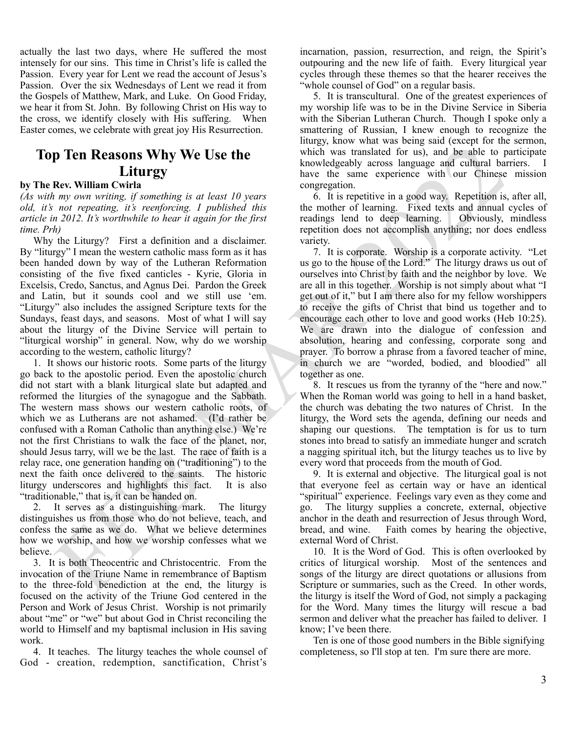actually the last two days, where He suffered the most intensely for our sins. This time in Christ's life is called the Passion. Every year for Lent we read the account of Jesus's Passion. Over the six Wednesdays of Lent we read it from the Gospels of Matthew, Mark, and Luke. On Good Friday, we hear it from St. John. By following Christ on His way to the cross, we identify closely with His suffering. When Easter comes, we celebrate with great joy His Resurrection.

# **Top Ten Reasons Why We Use the Liturgy**

#### **by The Rev. William Cwirla**

*(As with my own writing, if something is at least 10 years old, it's not repeating, it's reenforcing. I published this article in 2012. It's worthwhile to hear it again for the first time. Prh)*

Why the Liturgy? First a definition and a disclaimer. By "liturgy" I mean the western catholic mass form as it has been handed down by way of the Lutheran Reformation consisting of the five fixed canticles - Kyrie, Gloria in Excelsis, Credo, Sanctus, and Agnus Dei. Pardon the Greek and Latin, but it sounds cool and we still use 'em. "Liturgy" also includes the assigned Scripture texts for the Sundays, feast days, and seasons. Most of what I will say about the liturgy of the Divine Service will pertain to "liturgical worship" in general. Now, why do we worship according to the western, catholic liturgy?

**p Ten Reasons Why We Use the**<br> **EVALUATION** the mass? Now what this comparison the proposed on the same of the mass of the mass of the same of the same of the same of the same of the same of the same of the same of the s 1. It shows our historic roots. Some parts of the liturgy go back to the apostolic period. Even the apostolic church did not start with a blank liturgical slate but adapted and reformed the liturgies of the synagogue and the Sabbath. The western mass shows our western catholic roots, of which we as Lutherans are not ashamed. (I'd rather be confused with a Roman Catholic than anything else.) We're not the first Christians to walk the face of the planet, nor, should Jesus tarry, will we be the last. The race of faith is a relay race, one generation handing on ("traditioning") to the next the faith once delivered to the saints. The historic liturgy underscores and highlights this fact. It is also "traditionable," that is, it can be handed on.

2. It serves as a distinguishing mark. The liturgy distinguishes us from those who do not believe, teach, and confess the same as we do. What we believe determines how we worship, and how we worship confesses what we believe.

3. It is both Theocentric and Christocentric. From the invocation of the Triune Name in remembrance of Baptism to the three-fold benediction at the end, the liturgy is focused on the activity of the Triune God centered in the Person and Work of Jesus Christ. Worship is not primarily about "me" or "we" but about God in Christ reconciling the world to Himself and my baptismal inclusion in His saving work.

4. It teaches. The liturgy teaches the whole counsel of God - creation, redemption, sanctification, Christ's incarnation, passion, resurrection, and reign, the Spirit's outpouring and the new life of faith. Every liturgical year cycles through these themes so that the hearer receives the "whole counsel of God" on a regular basis.

5. It is transcultural. One of the greatest experiences of my worship life was to be in the Divine Service in Siberia with the Siberian Lutheran Church. Though I spoke only a smattering of Russian, I knew enough to recognize the liturgy, know what was being said (except for the sermon, which was translated for us), and be able to participate knowledgeably across language and cultural barriers. I have the same experience with our Chinese mission congregation.

6. It is repetitive in a good way. Repetition is, after all, the mother of learning. Fixed texts and annual cycles of readings lend to deep learning. Obviously, mindless repetition does not accomplish anything; nor does endless variety.

7. It is corporate. Worship is a corporate activity. "Let us go to the house of the Lord." The liturgy draws us out of ourselves into Christ by faith and the neighbor by love. We are all in this together. Worship is not simply about what "I get out of it," but I am there also for my fellow worshippers to receive the gifts of Christ that bind us together and to encourage each other to love and good works (Heb 10:25). We are drawn into the dialogue of confession and absolution, hearing and confessing, corporate song and prayer. To borrow a phrase from a favored teacher of mine, in church we are "worded, bodied, and bloodied" all together as one.

8. It rescues us from the tyranny of the "here and now." When the Roman world was going to hell in a hand basket, the church was debating the two natures of Christ. In the liturgy, the Word sets the agenda, defining our needs and shaping our questions. The temptation is for us to turn stones into bread to satisfy an immediate hunger and scratch a nagging spiritual itch, but the liturgy teaches us to live by every word that proceeds from the mouth of God.

9. It is external and objective. The liturgical goal is not that everyone feel as certain way or have an identical "spiritual" experience. Feelings vary even as they come and go. The liturgy supplies a concrete, external, objective anchor in the death and resurrection of Jesus through Word, bread, and wine. Faith comes by hearing the objective, external Word of Christ.

10. It is the Word of God. This is often overlooked by critics of liturgical worship. Most of the sentences and songs of the liturgy are direct quotations or allusions from Scripture or summaries, such as the Creed. In other words, the liturgy is itself the Word of God, not simply a packaging for the Word. Many times the liturgy will rescue a bad sermon and deliver what the preacher has failed to deliver. I know; I've been there.

Ten is one of those good numbers in the Bible signifying completeness, so I'll stop at ten. I'm sure there are more.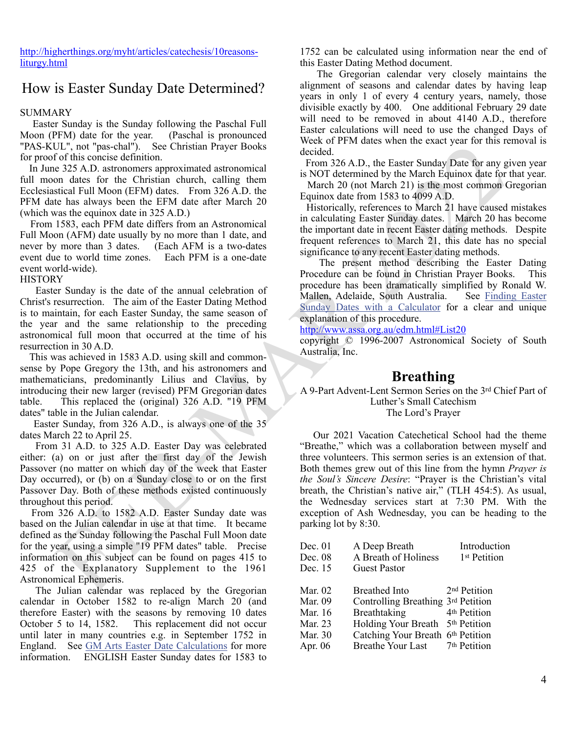[http://higherthings.org/myht/articles/catechesis/10reasons](http://higherthings.org/myht/articles/catechesis/10reasons-liturgy.html)[liturgy.html](http://higherthings.org/myht/articles/catechesis/10reasons-liturgy.html)

### How is Easter Sunday Date Determined?

#### SUMMARY

 Easter Sunday is the Sunday following the Paschal Full Moon (PFM) date for the year. (Paschal is pronounced "PAS-KUL", not "pas-chal"). See Christian Prayer Books for proof of this concise definition.

 In June 325 A.D. astronomers approximated astronomical full moon dates for the Christian church, calling them Ecclesiastical Full Moon (EFM) dates. From 326 A.D. the PFM date has always been the EFM date after March 20 (which was the equinox date in 325 A.D.)

 From 1583, each PFM date differs from an Astronomical Full Moon (AFM) date usually by no more than 1 date, and never by more than 3 dates. (Each AFM is a two-dates event due to world time zones. Each PFM is a one-date event world-wide).

#### **HISTORY**

 Easter Sunday is the date of the annual celebration of Christ's resurrection. The aim of the Easter Dating Method is to maintain, for each Easter Sunday, the same season of the year and the same relationship to the preceding astronomical full moon that occurred at the time of his resurrection in 30 A.D.

 This was achieved in 1583 A.D. using skill and commonsense by Pope Gregory the 13th, and his astronomers and mathematicians, predominantly Lilius and Clavius, by introducing their new larger (revised) PFM Gregorian dates table. This replaced the (original) 326 A.D. "19 PFM dates" table in the Julian calendar.

 Easter Sunday, from 326 A.D., is always one of the 35 dates March 22 to April 25.

 From 31 A.D. to 325 A.D. Easter Day was celebrated either: (a) on or just after the first day of the Jewish Passover (no matter on which day of the week that Easter Day occurred), or (b) on a Sunday close to or on the first Passover Day. Both of these methods existed continuously throughout this period.

 From 326 A.D. to 1582 A.D. Easter Sunday date was based on the Julian calendar in use at that time. It became defined as the Sunday following the Paschal Full Moon date for the year, using a simple "19 PFM dates" table. Precise information on this subject can be found on pages 415 to 425 of the Explanatory Supplement to the 1961 Astronomical Ephemeris.

 The Julian calendar was replaced by the Gregorian calendar in October 1582 to re-align March 20 (and therefore Easter) with the seasons by removing 10 dates October 5 to 14, 1582. This replacement did not occur until later in many countries e.g. in September 1752 in England. See [GM Arts Easter Date Calculations](http://www.chariot.net.au/~gmarts/easter.htm) for more information. ENGLISH Easter Sunday dates for 1583 to

1752 can be calculated using information near the end of this Easter Dating Method document.

 The Gregorian calendar very closely maintains the alignment of seasons and calendar dates by having leap years in only 1 of every 4 century years, namely, those divisible exactly by 400. One additional February 29 date will need to be removed in about 4140 A.D., therefore Easter calculations will need to use the changed Days of Week of PFM dates when the exact year for this removal is decided.

 From 326 A.D., the Easter Sunday Date for any given year is NOT determined by the March Equinox date for that year.

 March 20 (not March 21) is the most common Gregorian Equinox date from 1583 to 4099 A.D.

 Historically, references to March 21 have caused mistakes in calculating Easter Sunday dates. March 20 has become the important date in recent Easter dating methods. Despite frequent references to March 21, this date has no special significance to any recent Easter dating methods.

 The present method describing the Easter Dating Procedure can be found in Christian Prayer Books. This procedure has been dramatically simplified by Ronald W. Mallen, Adelaide, South Australia. See [Finding Easter](http://www.assa.org.au/edm.html#Calculator) Sunday Dates with a Calculator for a clear and unique explanation of this procedure.

http://www.assa.org.au/edm.html#List20

copyright © 1996-2007 Astronomical Society of South Australia, Inc.

### **Breathing**

A 9-Part Advent-Lent Sermon Series on the 3rd Chief Part of Luther's Small Catechism The Lord's Prayer

U.I., not pas-chair was be a small that the control is the control in the same in each of this consider a reach and the same in the same state of the same in the same in the same state and the same state is a consider to Our 2021 Vacation Catechetical School had the theme "Breathe," which was a collaboration between myself and three volunteers. This sermon series is an extension of that. Both themes grew out of this line from the hymn *Prayer is the Soul's Sincere Desire*: "Prayer is the Christian's vital breath, the Christian's native air," (TLH 454:5). As usual, the Wednesday services start at 7:30 PM. With the exception of Ash Wednesday, you can be heading to the parking lot by 8:30.

| Dec. $01$ | A Deep Breath                      | Introduction             |
|-----------|------------------------------------|--------------------------|
| Dec. $08$ | A Breath of Holiness               | 1 <sup>st</sup> Petition |
| Dec. 15   | Guest Pastor                       |                          |
| Mar. 02   | <b>Breathed Into</b>               | 2 <sup>nd</sup> Petition |
| Mar. 09   | Controlling Breathing 3rd Petition |                          |
| Mar. 16   | Breathtaking                       | 4 <sup>th</sup> Petition |
| Mar. 23   | <b>Holding Your Breath</b>         | 5 <sup>th</sup> Petition |
| Mar. 30   | Catching Your Breath 6th Petition  |                          |
| Apr. $06$ | Breathe Your Last 7th Petition     |                          |
|           |                                    |                          |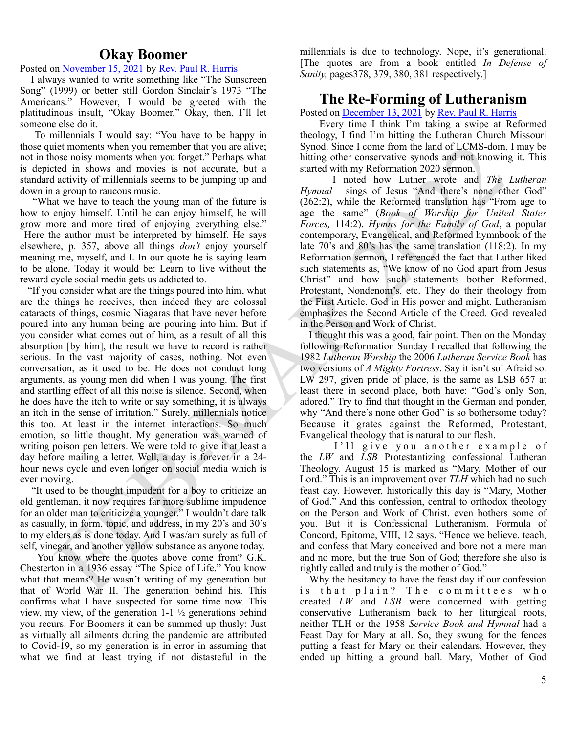### **Okay Boomer**

Posted on [November 15, 2021](http://blog.trinityaustin.com/?p=1695) by [Rev. Paul R. Harris](http://blog.trinityaustin.com/author/pastorharris/)

 I always wanted to write something like "The Sunscreen Song" (1999) or better still Gordon Sinclair's 1973 "The Americans." However, I would be greeted with the platitudinous insult, "Okay Boomer." Okay, then, I'll let someone else do it.

 To millennials I would say: "You have to be happy in those quiet moments when you remember that you are alive; not in those noisy moments when you forget." Perhaps what is depicted in shows and movies is not accurate, but a standard activity of millennials seems to be jumping up and down in a group to raucous music.

 "What we have to teach the young man of the future is how to enjoy himself. Until he can enjoy himself, he will grow more and more tired of enjoying everything else."

 Here the author must be interpreted by himself. He says elsewhere, p. 357, above all things *don't* enjoy yourself meaning me, myself, and I. In our quote he is saying learn to be alone. Today it would be: Learn to live without the reward cycle social media gets us addicted to.

iet moments when you ten<br>means that you are alive. Syond. Since I concernent than do the CMS-dom<br>in the property of the system system in the system and with my deter conservative system and the flow<br>and any solid means is "If you consider what are the things poured into him, what are the things he receives, then indeed they are colossal cataracts of things, cosmic Niagaras that have never before poured into any human being are pouring into him. But if you consider what comes out of him, as a result of all this absorption [by him], the result we have to record is rather serious. In the vast majority of cases, nothing. Not even conversation, as it used to be. He does not conduct long arguments, as young men did when I was young. The first and startling effect of all this noise is silence. Second, when he does have the itch to write or say something, it is always an itch in the sense of irritation." Surely, millennials notice this too. At least in the internet interactions. So much emotion, so little thought. My generation was warned of writing poison pen letters. We were told to give it at least a day before mailing a letter. Well, a day is forever in a 24 hour news cycle and even longer on social media which is ever moving.

 "It used to be thought impudent for a boy to criticize an old gentleman, it now requires far more sublime impudence for an older man to criticize a younger." I wouldn't dare talk as casually, in form, topic, and address, in my 20's and 30's to my elders as is done today. And I was/am surely as full of self, vinegar, and another yellow substance as anyone today.

 You know where the quotes above come from? G.K. Chesterton in a 1936 essay "The Spice of Life." You know what that means? He wasn't writing of my generation but that of World War II. The generation behind his. This confirms what I have suspected for some time now. This view, my view, of the generation  $1-1\frac{1}{2}$  generations behind you recurs. For Boomers it can be summed up thusly: Just as virtually all ailments during the pandemic are attributed to Covid-19, so my generation is in error in assuming that what we find at least trying if not distasteful in the millennials is due to technology. Nope, it's generational. [The quotes are from a book entitled *In Defense of Sanity,* pages378, 379, 380, 381 respectively.]

### **The Re-Forming of Lutheranism**

Posted on [December 13, 2021](http://blog.trinityaustin.com/2021/12/13/the-re-forming-of-lutheranism/) by [Rev. Paul R. Harris](http://blog.trinityaustin.com/author/pastorharris/)

 Every time I think I'm taking a swipe at Reformed theology, I find I'm hitting the Lutheran Church Missouri Synod. Since I come from the land of LCMS-dom, I may be hitting other conservative synods and not knowing it. This started with my Reformation 2020 sermon.

 I noted how Luther wrote and *The Lutheran Hymnal* sings of Jesus "And there's none other God" (262:2), while the Reformed translation has "From age to age the same" (*Book of Worship for United States Forces,* 114:2). *Hymns for the Family of God*, a popular contemporary, Evangelical, and Reformed hymnbook of the late 70's and 80's has the same translation (118:2). In my Reformation sermon, I referenced the fact that Luther liked such statements as, "We know of no God apart from Jesus Christ" and how such statements bother Reformed, Protestant, Nondenom's, etc. They do their theology from the First Article. God in His power and might. Lutheranism emphasizes the Second Article of the Creed. God revealed in the Person and Work of Christ.

 I thought this was a good, fair point. Then on the Monday following Reformation Sunday I recalled that following the 1982 *Lutheran Worship* the 2006 *Lutheran Service Book* has two versions of *A Mighty Fortress*. Say it isn't so! Afraid so. LW 297, given pride of place, is the same as LSB 657 at least there in second place, both have: "God's only Son, adored." Try to find that thought in the German and ponder, why "And there's none other God" is so bothersome today? Because it grates against the Reformed, Protestant, Evangelical theology that is natural to our flesh.

I'll give you another example of the *LW* and *LSB* Protestantizing confessional Lutheran Theology. August 15 is marked as "Mary, Mother of our Lord." This is an improvement over *TLH* which had no such feast day. However, historically this day is "Mary, Mother of God." And this confession, central to orthodox theology on the Person and Work of Christ, even bothers some of you. But it is Confessional Lutheranism. Formula of Concord, Epitome, VIII, 12 says, "Hence we believe, teach, and confess that Mary conceived and bore not a mere man and no more, but the true Son of God; therefore she also is rightly called and truly is the mother of God."

 Why the hesitancy to have the feast day if our confession is that plain? The committees who created *LW* and *LSB* were concerned with getting conservative Lutheranism back to her liturgical roots, neither TLH or the 1958 *Service Book and Hymnal* had a Feast Day for Mary at all. So, they swung for the fences putting a feast for Mary on their calendars. However, they ended up hitting a ground ball. Mary, Mother of God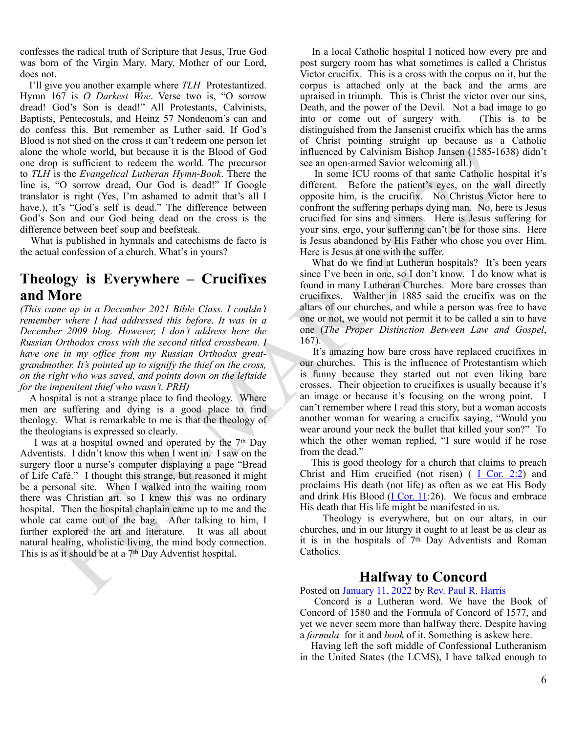confesses the radical truth of Scripture that Jesus, True God was born of the Virgin Mary. Mary, Mother of our Lord, does not.

 I'll give you another example where *TLH* Protestantized. Hymn 167 is *O Darkest Woe*. Verse two is, "O sorrow dread! God's Son is dead!" All Protestants, Calvinists, Baptists, Pentecostals, and Heinz 57 Nondenom's can and do confess this. But remember as Luther said, If God's Blood is not shed on the cross it can't redeem one person let alone the whole world, but because it is the Blood of God one drop is sufficient to redeem the world. The precursor to *TLH* is the *Evangelical Lutheran Hymn-Book*. There the line is, "O sorrow dread, Our God is dead!" If Google translator is right (Yes, I'm ashamed to admit that's all I have.), it's "God's self is dead." The difference between God's Son and our God being dead on the cross is the difference between beef soup and beefsteak.

 What is published in hymnals and catechisms de facto is the actual confession of a church. What's in yours?

### **Theology is Everywhere – Crucifixes and More**

*(This came up in a December 2021 Bible Class. I couldn't remember where I had addressed this before. It was in a December 2009 blog. However, I don't address here the Russian Orthodox cross with the second titled crossbeam. I have one in my office from my Russian Orthodox greatgrandmother. It's pointed up to signify the thief on the cross, on the right who was saved, and points down on the leftside for the impenitent thief who wasn't. PRH)*

 A hospital is not a strange place to find theology. Where men are suffering and dying is a good place to find theology. What is remarkable to me is that the theology of the theologians is expressed so clearly.

and the theoretical interest is the main of the same of the same in the same of the same of the same of the same of the same of the same of the same of the same of the same of the same of the same of the same of the same I was at a hospital owned and operated by the 7th Day Adventists. I didn't know this when I went in. I saw on the surgery floor a nurse's computer displaying a page "Bread of Life Café." I thought this strange, but reasoned it might be a personal site. When I walked into the waiting room there was Christian art, so I knew this was no ordinary hospital. Then the hospital chaplain came up to me and the whole cat came out of the bag. After talking to him, I further explored the art and literature. It was all about natural healing, wholistic living, the mind body connection. This is as it should be at a 7th Day Adventist hospital.

 In a local Catholic hospital I noticed how every pre and post surgery room has what sometimes is called a Christus Victor crucifix. This is a cross with the corpus on it, but the corpus is attached only at the back and the arms are upraised in triumph. This is Christ the victor over our sins, Death, and the power of the Devil. Not a bad image to go into or come out of surgery with. (This is to be distinguished from the Jansenist crucifix which has the arms of Christ pointing straight up because as a Catholic influenced by Calvinism Bishop Jansen (1585-1638) didn't see an open-armed Savior welcoming all.)

 In some ICU rooms of that same Catholic hospital it's different. Before the patient's eyes, on the wall directly opposite him, is the crucifix. No Christus Victor here to confront the suffering perhaps dying man. No, here is Jesus crucified for sins and sinners. Here is Jesus suffering for your sins, ergo, your suffering can't be for those sins. Here is Jesus abandoned by His Father who chose you over Him. Here is Jesus at one with the suffer.

 What do we find at Lutheran hospitals? It's been years since I've been in one, so I don't know. I do know what is found in many Lutheran Churches. More bare crosses than crucifixes. Walther in 1885 said the crucifix was on the altars of our churches, and while a person was free to have one or not, we would not permit it to be called a sin to have one (*The Proper Distinction Between Law and Gospel*, 167).

 It's amazing how bare cross have replaced crucifixes in our churches. This is the influence of Protestantism which is funny because they started out not even liking bare crosses. Their objection to crucifixes is usually because it's an image or because it's focusing on the wrong point. I can't remember where I read this story, but a woman accosts another woman for wearing a crucifix saying, "Would you wear around your neck the bullet that killed your son?" To which the other woman replied, "I sure would if he rose from the dead."

 This is good theology for a church that claims to preach Christ and Him crucified (not risen)  $(I \nCor. 2:2)$  and proclaims His death (not life) as often as we eat His Body and drink His Blood ( $\underline{I Cor. 11}$ :26). We focus and embrace His death that His life might be manifested in us.

 Theology is everywhere, but on our altars, in our churches, and in our liturgy it ought to at least be as clear as it is in the hospitals of 7th Day Adventists and Roman Catholics.

### **Halfway to Concord**

Posted on January 11, 2022 by Rev. Paul R. Harris

 Concord is a Lutheran word. We have the Book of Concord of 1580 and the Formula of Concord of 1577, and yet we never seem more than halfway there. Despite having a *formula* for it and *book* of it. Something is askew here.

 Having left the soft middle of Confessional Lutheranism in the United States (the LCMS), I have talked enough to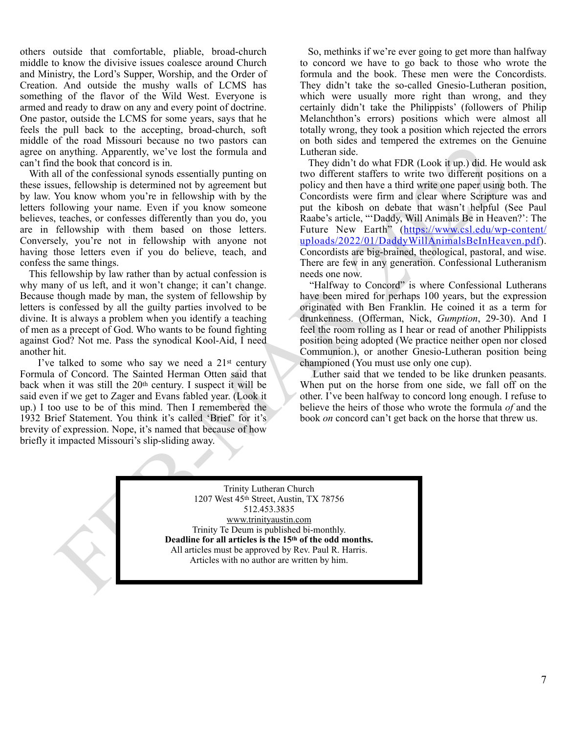others outside that comfortable, pliable, broad-church middle to know the divisive issues coalesce around Church and Ministry, the Lord's Supper, Worship, and the Order of Creation. And outside the mushy walls of LCMS has something of the flavor of the Wild West. Everyone is armed and ready to draw on any and every point of doctrine. One pastor, outside the LCMS for some years, says that he feels the pull back to the accepting, broad-church, soft middle of the road Missouri because no two pastors can agree on anything. Apparently, we've lost the formula and can't find the book that concord is in.

 With all of the confessional synods essentially punting on these issues, fellowship is determined not by agreement but by law. You know whom you're in fellowship with by the letters following your name. Even if you know someone believes, teaches, or confesses differently than you do, you are in fellowship with them based on those letters. Conversely, you're not in fellowship with anyone not having those letters even if you do believe, teach, and confess the same things.

 This fellowship by law rather than by actual confession is why many of us left, and it won't change; it can't change. Because though made by man, the system of fellowship by letters is confessed by all the guilty parties involved to be divine. It is always a problem when you identify a teaching of men as a precept of God. Who wants to be found fighting against God? Not me. Pass the synodical Kool-Aid, I need another hit.

 I've talked to some who say we need a 21st century Formula of Concord. The Sainted Herman Otten said that back when it was still the 20th century. I suspect it will be said even if we get to Zager and Evans fabled year. (Look it up.) I too use to be of this mind. Then I remembered the 1932 Brief Statement. You think it's called 'Brief' for it's brevity of expression. Nope, it's named that because of how briefly it impacted Missouri's slip-sliding away.

 So, methinks if we're ever going to get more than halfway to concord we have to go back to those who wrote the formula and the book. These men were the Concordists. They didn't take the so-called Gnesio-Lutheran position, which were usually more right than wrong, and they certainly didn't take the Philippists' (followers of Philip Melanchthon's errors) positions which were almost all totally wrong, they took a position which rejected the errors on both sides and tempered the extremes on the Genuine Lutheran side.

or not not a small of the particle in the passion is the control of the small of the confession is the threshold by particle in the particle in the confession is the threshold by the particle in the confession is the form They didn't do what FDR (Look it up.) did. He would ask two different staffers to write two different positions on a policy and then have a third write one paper using both. The Concordists were firm and clear where Scripture was and put the kibosh on debate that wasn't helpful (See Paul Raabe's article, "'Daddy, Will Animals Be in Heaven?': The Future New Earth" ([https://www.csl.edu/wp-content/](https://www.csl.edu/wp-content/uploads/2022/01/DaddyWillAnimalsBeInHeaven.pdf) [uploads/2022/01/DaddyWillAnimalsBeInHeaven.pdf](https://www.csl.edu/wp-content/uploads/2022/01/DaddyWillAnimalsBeInHeaven.pdf)). Concordists are big-brained, theological, pastoral, and wise. There are few in any generation. Confessional Lutheranism needs one now.

 "Halfway to Concord" is where Confessional Lutherans have been mired for perhaps 100 years, but the expression originated with Ben Franklin. He coined it as a term for drunkenness. (Offerman, Nick, *Gumption*, 29-30). And I feel the room rolling as I hear or read of another Philippists position being adopted (We practice neither open nor closed Communion.), or another Gnesio-Lutheran position being championed (You must use only one cup).

 Luther said that we tended to be like drunken peasants. When put on the horse from one side, we fall off on the other. I've been halfway to concord long enough. I refuse to believe the heirs of those who wrote the formula *of* and the book *on* concord can't get back on the horse that threw us.

Trinity Lutheran Church 1207 West 45th Street, Austin, TX 78756 512.453.3835 www.trinityaustin.com Trinity Te Deum is published bi-monthly. **Deadline for all articles is the 15th of the odd months.** All articles must be approved by Rev. Paul R. Harris. Articles with no author are written by him.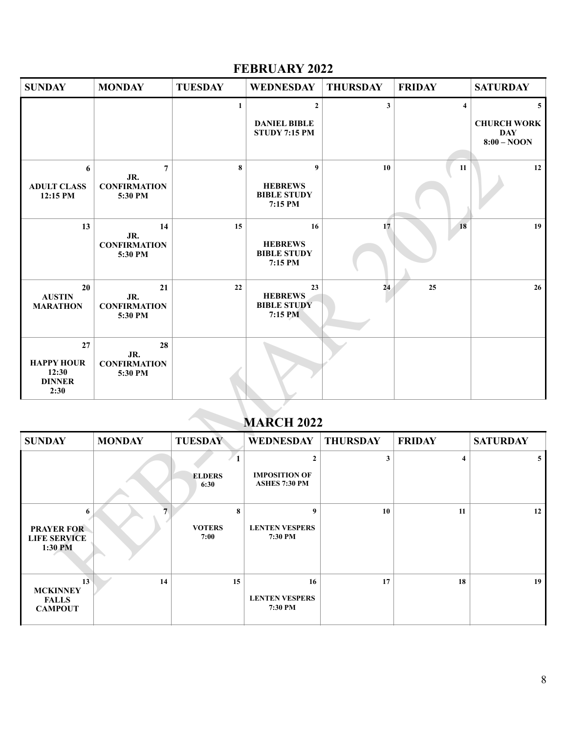### **FEBRUARY 2022**

| <b>SUNDAY</b>                                             | <b>MONDAY</b>                                           | <b>TUESDAY</b>             | <b>WEDNESDAY</b>                                              | <b>THURSDAY</b> | <b>FRIDAY</b>           | <b>SATURDAY</b>                                                     |  |  |
|-----------------------------------------------------------|---------------------------------------------------------|----------------------------|---------------------------------------------------------------|-----------------|-------------------------|---------------------------------------------------------------------|--|--|
|                                                           |                                                         | 1                          | $\overline{2}$<br><b>DANIEL BIBLE</b><br><b>STUDY 7:15 PM</b> | $\mathbf{3}$    | $\overline{\mathbf{4}}$ | 5 <sup>5</sup><br><b>CHURCH WORK</b><br><b>DAY</b><br>$8:00 - NOOD$ |  |  |
| 6<br><b>ADULT CLASS</b><br>12:15 PM                       | $\overline{7}$<br>JR.<br><b>CONFIRMATION</b><br>5:30 PM | 8                          | 9<br><b>HEBREWS</b><br><b>BIBLE STUDY</b><br>7:15 PM          | 10              | 11                      | 12                                                                  |  |  |
| 13                                                        | 14<br>JR.<br><b>CONFIRMATION</b><br>5:30 PM             | 15                         | 16<br><b>HEBREWS</b><br><b>BIBLE STUDY</b><br>7:15 PM         | 17              | 18                      | 19                                                                  |  |  |
| 20<br><b>AUSTIN</b><br><b>MARATHON</b>                    | 21<br>JR.<br><b>CONFIRMATION</b><br>5:30 PM             | 22                         | 23<br><b>HEBREWS</b><br><b>BIBLE STUDY</b><br>7:15 PM         | 24              | 25                      | 26                                                                  |  |  |
| 27<br><b>HAPPY HOUR</b><br>12:30<br><b>DINNER</b><br>2:30 | 28<br>JR.<br><b>CONFIRMATION</b><br>5:30 PM             |                            |                                                               |                 |                         |                                                                     |  |  |
|                                                           | <b>MARCH 2022</b>                                       |                            |                                                               |                 |                         |                                                                     |  |  |
| <b>SUNDAY</b>                                             | <b>MONDAY</b>                                           | <b>TUESDAY</b>             | <b>WEDNESDAY</b>                                              | <b>THURSDAY</b> | <b>FRIDAY</b>           | <b>SATURDAY</b>                                                     |  |  |
|                                                           |                                                         | <b>ELDERS</b><br>6:30      | $\mathbf{2}$<br><b>IMPOSITION OF</b><br><b>ASHES 7:30 PM</b>  | 3               | $\overline{\mathbf{4}}$ | 5 <sub>5</sub>                                                      |  |  |
| 6<br><b>PRAYER FOR</b><br><b>LIFE SERVICE</b><br>1:30 PM  | $\overline{7}$                                          | 8<br><b>VOTERS</b><br>7:00 | 9<br><b>LENTEN VESPERS</b><br>7:30 PM                         | 10              | 11                      | 12                                                                  |  |  |
| 13<br><b>MCKINNEY</b>                                     | 14                                                      | 15                         | 16                                                            | 17              | 18                      | 19                                                                  |  |  |

# **MARCH 2022**

| <b>SUNDAY</b>                                            | <b>MONDAY</b> | <b>TUESDAY</b>             | WEDNESDAY                                                    | <b>THURSDAY</b> | <b>FRIDAY</b> | <b>SATURDAY</b> |
|----------------------------------------------------------|---------------|----------------------------|--------------------------------------------------------------|-----------------|---------------|-----------------|
|                                                          |               | <b>ELDERS</b><br>6:30      | $\mathbf{2}$<br><b>IMPOSITION OF</b><br><b>ASHES 7:30 PM</b> | 3               | 4             | 5               |
| 6<br><b>PRAYER FOR</b><br><b>LIFE SERVICE</b><br>1:30 PM |               | 8<br><b>VOTERS</b><br>7:00 | 9<br><b>LENTEN VESPERS</b><br>7:30 PM                        | 10              | 11            | 12              |
| 13<br><b>MCKINNEY</b><br><b>FALLS</b><br><b>CAMPOUT</b>  | 14            | 15                         | 16<br><b>LENTEN VESPERS</b><br>7:30 PM                       | 17              | 18            | 19              |